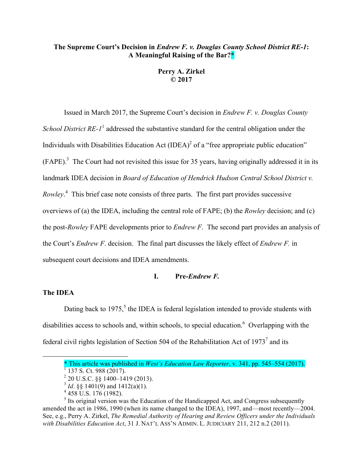# **The Supreme Court's Decision in** *Endrew F. v. Douglas County School District RE-1***: A Meaningful Raising of the Bar?\***

**Perry A. Zirkel © 2017**

Issued in March 2017, the Supreme Court's decision in *Endrew F. v. Douglas County School District RE-1*<sup>1</sup> addressed the substantive standard for the central obligation under the Individuals with Disabilities Education Act  $(IDEA)^2$  of a "free appropriate public education"  $(FAPE)^3$ . The Court had not revisited this issue for 35 years, having originally addressed it in its landmark IDEA decision in *Board of Education of Hendrick Hudson Central School District v.*  Rowley.<sup>4</sup> This brief case note consists of three parts. The first part provides successive overviews of (a) the IDEA, including the central role of FAPE; (b) the *Rowley* decision; and (c) the post-*Rowley* FAPE developments prior to *Endrew F*. The second part provides an analysis of the Court's *Endrew F*. decision. The final part discusses the likely effect of *Endrew F.* in subsequent court decisions and IDEA amendments.

## **I. Pre-***Endrew F.*

## **The IDEA**

 $\overline{a}$ 

Dating back to  $1975$ ,<sup>5</sup> the IDEA is federal legislation intended to provide students with disabilities access to schools and, within schools, to special education.<sup>6</sup> Overlapping with the federal civil rights legislation of Section 504 of the Rehabilitation Act of  $1973<sup>7</sup>$  and its

<sup>\*</sup> This article was published in *West's Education Law Reporter*, v. 341, pp. 545–554 (2017). <sup>1</sup> <sup>137</sup> S. Ct. 988 (2017).

 $^{2}$  20 U.S.C. §§ 1400–1419 (2013).

 $3$  *Id.* §§ 1401(9) and 1412(a)(1).

 $4\overline{458}$  U.S. 176 (1982).

 $<sup>5</sup>$  Its original version was the Education of the Handicapped Act, and Congress subsequently</sup> amended the act in 1986, 1990 (when its name changed to the IDEA), 1997, and—most recently—2004. See, e.g., Perry A. Zirkel, *The Remedial Authority of Hearing and Review Officers under the Individuals with Disabilities Education Act*, 31 J. NAT'L ASS'N ADMIN. L. JUDICIARY 211, 212 n.2 (2011).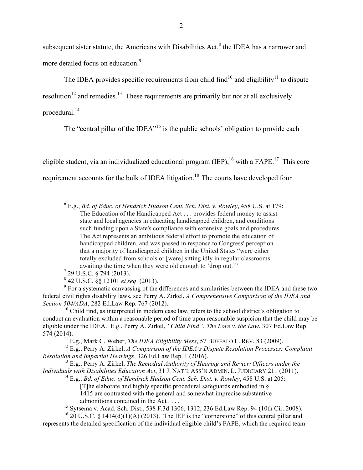subsequent sister statute, the Americans with Disabilities  $Act$ ,  $%$  the IDEA has a narrower and more detailed focus on education.<sup>9</sup>

The IDEA provides specific requirements from child find<sup>10</sup> and eligibility<sup>11</sup> to dispute

resolution<sup>12</sup> and remedies.<sup>13</sup> These requirements are primarily but not at all exclusively procedural.<sup>14</sup>

The "central pillar of the IDEA"<sup>15</sup> is the public schools' obligation to provide each

eligible student, via an individualized educational program (IEP), <sup>16</sup> with a FAPE.<sup>17</sup> This core requirement accounts for the bulk of IDEA litigation.<sup>18</sup> The courts have developed four

 6 E.g., *Bd. of Educ. of Hendrick Hudson Cent. Sch. Dist. v. Rowley*, 458 U.S. at 179: The Education of the Handicapped Act . . . provides federal money to assist state and local agencies in educating handicapped children, and conditions such funding upon a State's compliance with extensive goals and procedures. The Act represents an ambitious federal effort to promote the education of handicapped children, and was passed in response to Congress' perception that a majority of handicapped children in the United States "were either totally excluded from schools or [were] sitting idly in regular classrooms awaiting the time when they were old enough to 'drop out.'"

- $7$  29 U.S.C. § 794 (2013).
- <sup>8</sup> 42 U.S.C. §§ 12101 *et seq*. (2013).

<sup>9</sup> For a systematic canvassing of the differences and similarities between the IDEA and these two federal civil rights disability laws, see Perry A. Zirkel, *A Comprehensive Comparison of the IDEA and Section 504/ADA*, 282 Ed.Law Rep. 767 (2012).

 $10$  Child find, as interpreted in modern case law, refers to the school district's obligation to conduct an evaluation within a reasonable period of time upon reasonable suspicion that the child may be eligible under the IDEA. E.g., Perry A. Zirkel, *"Child Find": The Lore v. the Law*, 307 Ed.Law Rep. 574 (2014).

 $^{11}$  E.g., Mark C. Weber, *The IDEA Eligibility Mess*, 57 BUFFALO L. REV. 83 (2009).

<sup>12</sup> E.g., Perry A. Zirkel, *A Comparison of the IDEA's Dispute Resolution Processes: Complaint Resolution and Impartial Hearings*, 326 Ed.Law Rep. 1 (2016).

<sup>13</sup> E.g., Perry A. Zirkel, *The Remedial Authority of Hearing and Review Officers under the Individuals with Disabilities Education Act*, 31 J. NAT'L ASS'N ADMIN. L. JUDICIARY 211 (2011).

<sup>14</sup> E.g., *Bd. of Educ. of Hendrick Hudson Cent. Sch. Dist. v. Rowley*, 458 U.S. at 205:

[T]he elaborate and highly specific procedural safeguards embodied in §

1415 are contrasted with the general and somewhat imprecise substantive admonitions contained in the Act . . . .

<sup>15</sup> Sytsema v. Acad. Sch. Dist., 538 F.3d 1306, 1312, 236 Ed.Law Rep. 94 (10th Cir. 2008). <sup>16</sup> 20 U.S.C. § 1414(d)(1)(A) (2013). The IEP is the "cornerstone" of this central pillar and represents the detailed specification of the individual eligible child's FAPE, which the required team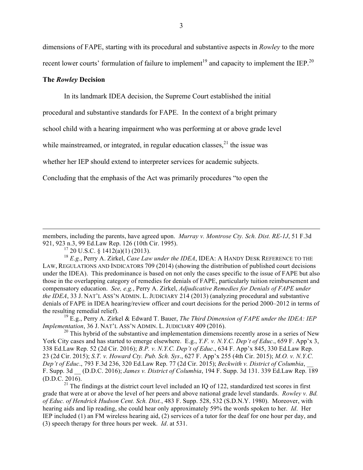dimensions of FAPE, starting with its procedural and substantive aspects in *Rowley* to the more recent lower courts' formulation of failure to implement<sup>19</sup> and capacity to implement the IEP.<sup>20</sup>

## **The** *Rowley* **Decision**

 $\overline{a}$ 

In its landmark IDEA decision, the Supreme Court established the initial

procedural and substantive standards for FAPE. In the context of a bright primary

school child with a hearing impairment who was performing at or above grade level

while mainstreamed, or integrated, in regular education classes,  $2<sup>1</sup>$  the issue was

whether her IEP should extend to interpreter services for academic subjects.

Concluding that the emphasis of the Act was primarily procedures "to open the

members, including the parents, have agreed upon. *Murray v. Montrose Cty. Sch. Dist. RE-1J*, 51 F.3d 921, 923 n.3, 99 Ed.Law Rep. 126 (10th Cir. 1995).

 $17$  20 U.S.C. § 1412(a)(1) (2013).

<sup>18</sup> *E.g.*, Perry A. Zirkel, *Case Law under the IDEA*, IDEA: A HANDY DESK REFERENCE TO THE LAW, REGULATIONS AND INDICATORS 709 (2014) (showing the distribution of published court decisions under the IDEA). This predominance is based on not only the cases specific to the issue of FAPE but also those in the overlapping category of remedies for denials of FAPE, particularly tuition reimbursement and compensatory education. *See, e.g.*, Perry A. Zirkel, *Adjudicative Remedies for Denials of FAPE under the IDEA*, 33 J. NAT'L ASS'N ADMIN. L. JUDICIARY 214 (2013) (analyzing procedural and substantive denials of FAPE in IDEA hearing/review officer and court decisions for the period 2000–2012 in terms of the resulting remedial relief).

<sup>19</sup> E.g., Perry A. Zirkel & Edward T. Bauer, *The Third Dimension of FAPE under the IDEA: IEP Implementation*, 36 J. NAT'L ASS'N ADMIN. L. JUDICIARY 409 (2016).

<sup>20</sup> This hybrid of the substantive and implementation dimensions recently arose in a series of New York City cases and has started to emerge elsewhere. E.g., *Y.F. v. N.Y.C. Dep't of Educ*., 659 F. App'x 3, 338 Ed.Law Rep. 52 (2d Cir. 2016); *B.P. v. N.Y.C. Dep't of Educ*., 634 F. App'x 845, 330 Ed.Law Rep. 23 (2d Cir. 2015); *S.T. v. Howard Cty. Pub. Sch. Sys*., 627 F. App'x 255 (4th Cir. 2015); *M.O. v. N.Y.C. Dep't of Educ*., 793 F.3d 236, 320 Ed.Law Rep. 77 (2d Cir. 2015); *Beckwith v. District of Columbia*, \_\_ F. Supp. 3d \_\_ (D.D.C. 2016); *James v. District of Columbia*, 194 F. Supp. 3d 131. 339 Ed.Law Rep. 189 (D.D.C. 2016).

 $21$  The findings at the district court level included an IQ of 122, standardized test scores in first grade that were at or above the level of her peers and above national grade level standards. *Rowley v. Bd. of Educ. of Hendrick Hudson Cent. Sch. Dist.*, 483 F. Supp. 528, 532 (S.D.N.Y. 1980). Moreover, with hearing aids and lip reading, she could hear only approximately 59% the words spoken to her. *Id*. Her IEP included (1) an FM wireless hearing aid, (2) services of a tutor for the deaf for one hour per day, and (3) speech therapy for three hours per week. *Id*. at 531.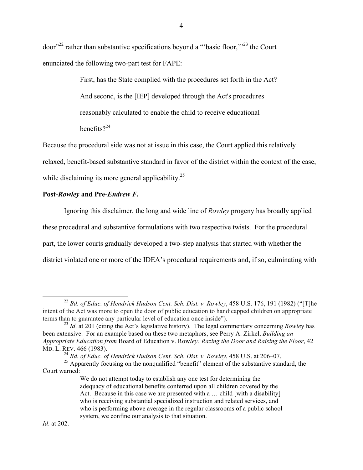door"<sup>22</sup> rather than substantive specifications beyond a "basic floor,"<sup>23</sup> the Court enunciated the following two-part test for FAPE:

> First, has the State complied with the procedures set forth in the Act? And second, is the [IEP] developed through the Act's procedures reasonably calculated to enable the child to receive educational benefits $2^{24}$

Because the procedural side was not at issue in this case, the Court applied this relatively relaxed, benefit-based substantive standard in favor of the district within the context of the case, while disclaiming its more general applicability.<sup>25</sup>

# **Post-***Rowley* **and Pre-***Endrew F***.**

Ignoring this disclaimer, the long and wide line of *Rowley* progeny has broadly applied these procedural and substantive formulations with two respective twists. For the procedural part, the lower courts gradually developed a two-step analysis that started with whether the district violated one or more of the IDEA's procedural requirements and, if so, culminating with

 <sup>22</sup> *Bd. of Educ. of Hendrick Hudson Cent. Sch. Dist. v. Rowley*, 458 U.S. 176, <sup>191</sup> (1982) ("[T]he intent of the Act was more to open the door of public education to handicapped children on appropriate terms than to guarantee any particular level of education once inside").

<sup>&</sup>lt;sup>23</sup> *Id.* at 201 (citing the Act's legislative history). The legal commentary concerning *Rowley* has been extensive. For an example based on these two metaphors, see Perry A. Zirkel, *Building an Appropriate Education from* Board of Education v. Row*ley: Razing the Door and Raising the Floor*, 42 MD. L. REV. 466 (1983).

<sup>24</sup> *Bd. of Educ. of Hendrick Hudson Cent. Sch. Dist. v. Rowley*, 458 U.S. at 206–07.

<sup>&</sup>lt;sup>25</sup> Apparently focusing on the nonqualified "benefit" element of the substantive standard, the Court warned:

We do not attempt today to establish any one test for determining the adequacy of educational benefits conferred upon all children covered by the Act. Because in this case we are presented with a ... child [with a disability] who is receiving substantial specialized instruction and related services, and who is performing above average in the regular classrooms of a public school system, we confine our analysis to that situation.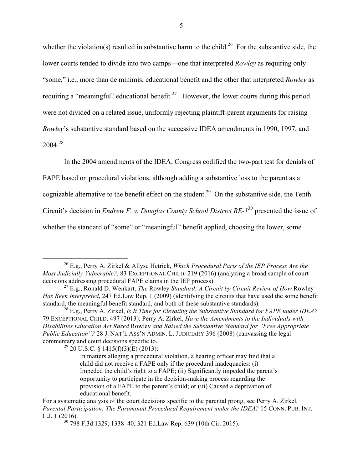whether the violation(s) resulted in substantive harm to the child.<sup>26</sup> For the substantive side, the lower courts tended to divide into two camps—one that interpreted *Rowley* as requiring only "some," i.e., more than de minimis, educational benefit and the other that interpreted *Rowley* as requiring a "meaningful" educational benefit.<sup>27</sup> However, the lower courts during this period were not divided on a related issue, uniformly rejecting plaintiff-parent arguments for raising *Rowley*'s substantive standard based on the successive IDEA amendments in 1990, 1997, and  $2004^{28}$ 

In the 2004 amendments of the IDEA, Congress codified the two-part test for denials of

FAPE based on procedural violations, although adding a substantive loss to the parent as a

cognizable alternative to the benefit effect on the student.<sup>29</sup> On the substantive side, the Tenth

Circuit's decision in *Endrew F. v. Douglas County School District RE-1*<sup>30</sup> presented the issue of

whether the standard of "some" or "meaningful" benefit applied, choosing the lower, some

<sup>29</sup> 20 U.S.C. § 1415(f)(3)(E) (2013):

 <sup>26</sup> E.g., Perry A. Zirkel & Allyse Hetrick, *Which Procedural Parts of the IEP Process Are the Most Judicially Vulnerable?*, 83 EXCEPTIONAL CHILD. 219 (2016) (analyzing a broad sample of court decisions addressing procedural FAPE claims in the IEP process).

<sup>27</sup> E.g., Ronald D. Wenkart, *The* Rowley *Standard: A Circuit by Circuit Review of How* Rowley *Has Been Interpreted*, 247 Ed.Law Rep. 1 (2009) (identifying the circuits that have used the some benefit standard, the meaningful benefit standard, and both of these substantive standards).

<sup>28</sup> E.g., Perry A. Zirkel, *Is It Time for Elevating the Substantive Standard for FAPE under IDEA?* 79 EXCEPTIONAL CHILD. 497 (2013); Perry A. Zirkel, *Have the Amendments to the Individuals with Disabilities Education Act Razed* Rowley *and Raised the Substantive Standard for "Free Appropriate Public Education"?* 28 J. NAT'L ASS'N ADMIN. L. JUDICIARY 396 (2008) (canvassing the legal commentary and court decisions specific to.

In matters alleging a procedural violation, a hearing officer may find that a child did not receive a FAPE only if the procedural inadequacies: (i) Impeded the child's right to a FAPE; (ii) Significantly impeded the parent's opportunity to participate in the decision-making process regarding the provision of a FAPE to the parent's child; or (iii) Caused a deprivation of educational benefit.

For a systematic analysis of the court decisions specific to the parental prong, see Perry A. Zirkel, *Parental Participation: The Paramount Procedural Requirement under the IDEA?* 15 CONN. PUB. INT. L.J. 1 (2016).

<sup>30</sup> 798 F.3d 1329, 1338–40, 321 Ed.Law Rep. 639 (10th Cir. 2015).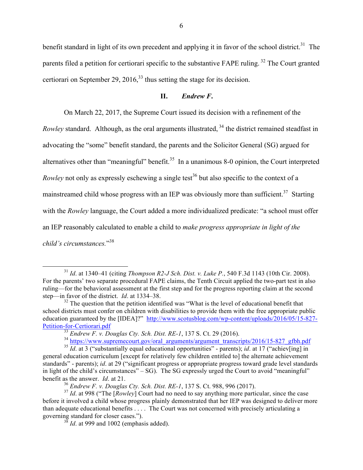benefit standard in light of its own precedent and applying it in favor of the school district.<sup>31</sup> The parents filed a petition for certiorari specific to the substantive FAPE ruling.<sup>32</sup> The Court granted certiorari on September 29, 2016,  $33$  thus setting the stage for its decision.

## **II.** *Endrew F***.**

On March 22, 2017, the Supreme Court issued its decision with a refinement of the *Rowley* standard. Although, as the oral arguments illustrated, <sup>34</sup> the district remained steadfast in advocating the "some" benefit standard, the parents and the Solicitor General (SG) argued for alternatives other than "meaningful" benefit. $35$  In a unanimous 8-0 opinion, the Court interpreted *Rowley* not only as expressly eschewing a single test<sup>36</sup> but also specific to the context of a mainstreamed child whose progress with an IEP was obviously more than sufficient.<sup>37</sup> Starting with the *Rowley* language, the Court added a more individualized predicate: "a school must offer an IEP reasonably calculated to enable a child to *make progress appropriate in light of the child's circumstances.*" 38

 <sup>31</sup> *Id*. at 1340–41 (citing *Thompson R2-J Sch. Dist. v. Luke P.*, 540 F.3d 1143 (10th Cir. 2008). For the parents' two separate procedural FAPE claims, the Tenth Circuit applied the two-part test in also ruling—for the behavioral assessment at the first step and for the progress reporting claim at the second step—in favor of the district. *Id*. at 1334–38.

 $32$  The question that the petition identified was "What is the level of educational benefit that school districts must confer on children with disabilities to provide them with the free appropriate public education guaranteed by the [IDEA]?" http://www.scotusblog.com/wp-content/uploads/2016/05/15-827-Petition-for-Certiorari.pdf

<sup>&</sup>lt;sup>33</sup> *Endrew F. v. Douglas Cty. Sch. Dist. RE-1*, 137 S. Ct. 29 (2016).<br><sup>34</sup> https://www.supremecourt.gov/oral\_arguments/argument\_transcripts/2016/15-827\_gfbh.pdf

<sup>&</sup>lt;sup>35</sup> *Id.* at 3 ("substantially equal educational opportunities" - parents); *id.* at 17 ("achiev[ing] in general education curriculum [except for relatively few children entitled to] the alternate achievement standards" - parents); *id*. at 29 ("significant progress or appropriate progress toward grade level standards in light of the child's circumstances" – SG). The SG expressly urged the Court to avoid "meaningful" benefit as the answer. *Id*. at 21.

<sup>36</sup> *Endrew F. v. Douglas Cty. Sch. Dist. RE-1*, 137 S. Ct. 988, 996 (2017).

<sup>&</sup>lt;sup>37</sup> *Id.* at 998 ("The [*Rowley*] Court had no need to say anything more particular, since the case before it involved a child whose progress plainly demonstrated that her IEP was designed to deliver more than adequate educational benefits . . . . The Court was not concerned with precisely articulating a governing standard for closer cases.").

 $3\sqrt[3]{8}$  *Id.* at 999 and 1002 (emphasis added).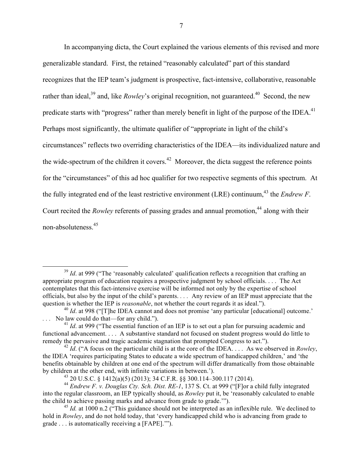In accompanying dicta, the Court explained the various elements of this revised and more generalizable standard. First, the retained "reasonably calculated" part of this standard recognizes that the IEP team's judgment is prospective, fact-intensive, collaborative, reasonable rather than ideal,<sup>39</sup> and, like *Rowley*'s original recognition, not guaranteed.<sup>40</sup> Second, the new predicate starts with "progress" rather than merely benefit in light of the purpose of the IDEA.<sup>41</sup> Perhaps most significantly, the ultimate qualifier of "appropriate in light of the child's circumstances" reflects two overriding characteristics of the IDEA—its individualized nature and the wide-spectrum of the children it covers.<sup>42</sup> Moreover, the dicta suggest the reference points for the "circumstances" of this ad hoc qualifier for two respective segments of this spectrum. At the fully integrated end of the least restrictive environment (LRE) continuum,<sup>43</sup> the *Endrew F*. Court recited the *Rowley* referents of passing grades and annual promotion,<sup>44</sup> along with their non-absoluteness.45

<sup>&</sup>lt;sup>39</sup> *Id.* at 999 ("The 'reasonably calculated' qualification reflects a recognition that crafting an appropriate program of education requires a prospective judgment by school officials. . . . The Act contemplates that this fact-intensive exercise will be informed not only by the expertise of school officials, but also by the input of the child's parents. *. . .* Any review of an IEP must appreciate that the question is whether the IEP is *reasonable*, not whether the court regards it as ideal.").

<sup>&</sup>lt;sup>40</sup> *Id.* at 998 ("T]he IDEA cannot and does not promise 'any particular [educational] outcome.' No law could do that—for any child.").

<sup>&</sup>lt;sup>41</sup> *Id.* at 999 ("The essential function of an IEP is to set out a plan for pursuing academic and functional advancement. . . . A substantive standard not focused on student progress would do little to remedy the pervasive and tragic academic stagnation that prompted Congress to act.").

 $^{42}$  *Id.* ("A focus on the particular child is at the core of the IDEA.... As we observed in *Rowley*, the IDEA 'requires participating States to educate a wide spectrum of handicapped children,' and 'the benefits obtainable by children at one end of the spectrum will differ dramatically from those obtainable by children at the other end, with infinite variations in between.').

 $^{43}$  20 U.S.C. § 1412(a)(5) (2013); 34 C.F.R. §§ 300.114–300.117 (2014).

<sup>44</sup> *Endrew F. v. Douglas Cty. Sch. Dist. RE-1*, 137 S. Ct. at 999 ("[F]or a child fully integrated into the regular classroom, an IEP typically should, as *Rowley* put it, be 'reasonably calculated to enable the child to achieve passing marks and advance from grade to grade.'").

<sup>&</sup>lt;sup>45</sup> *Id.* at 1000 n.2 ("This guidance should not be interpreted as an inflexible rule. We declined to hold in *Rowley*, and do not hold today, that 'every handicapped child who is advancing from grade to grade . . . is automatically receiving a [FAPE].'").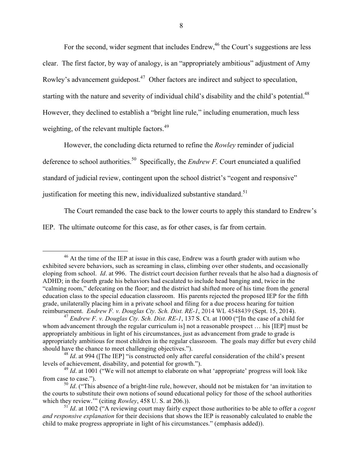For the second, wider segment that includes Endrew,<sup>46</sup> the Court's suggestions are less clear. The first factor, by way of analogy, is an "appropriately ambitious" adjustment of Amy Rowley's advancement guidepost.<sup>47</sup> Other factors are indirect and subject to speculation, starting with the nature and severity of individual child's disability and the child's potential.<sup>48</sup> However, they declined to establish a "bright line rule," including enumeration, much less weighting, of the relevant multiple factors.<sup>49</sup>

However, the concluding dicta returned to refine the *Rowley* reminder of judicial deference to school authorities.<sup>50</sup> Specifically, the *Endrew F.* Court enunciated a qualified standard of judicial review, contingent upon the school district's "cogent and responsive" justification for meeting this new, individualized substantive standard.<sup>51</sup>

The Court remanded the case back to the lower courts to apply this standard to Endrew's

IEP. The ultimate outcome for this case, as for other cases, is far from certain.

 $46$  At the time of the IEP at issue in this case, Endrew was a fourth grader with autism who exhibited severe behaviors, such as screaming in class, climbing over other students, and occasionally eloping from school. *Id*. at 996. The district court decision further reveals that he also had a diagnosis of ADHD; in the fourth grade his behaviors had escalated to include head banging and, twice in the "calming room," defecating on the floor; and the district had shifted more of his time from the general education class to the special education classroom. His parents rejected the proposed IEP for the fifth grade, unilaterally placing him in a private school and filing for a due process hearing for tuition reimbursement. *Endrew F. v. Douglas Cty. Sch. Dist. RE-1*, 2014 WL 4548439 (Sept. 15, 2014).

<sup>47</sup> *Endrew F. v. Douglas Cty. Sch. Dist. RE-1*, 137 S. Ct. at 1000 ("[In the case of a child for whom advancement through the regular curriculum is] not a reasonable prospect ... his [IEP] must be appropriately ambitious in light of his circumstances, just as advancement from grade to grade is appropriately ambitious for most children in the regular classroom. The goals may differ but every child should have the chance to meet challenging objectives.").

<sup>&</sup>lt;sup>48</sup> *Id.* at 994 ([The IEP] "is constructed only after careful consideration of the child's present levels of achievement, disability, and potential for growth.").

<sup>&</sup>lt;sup>49</sup> *Id.* at 1001 ("We will not attempt to elaborate on what 'appropriate' progress will look like from case to case.").

<sup>&</sup>lt;sup>50</sup> *Id.* ("This absence of a bright-line rule, however, should not be mistaken for 'an invitation to the courts to substitute their own notions of sound educational policy for those of the school authorities which they review.'" (citing *Rowley*, 458 U. S. at 206.)).

<sup>51</sup> *Id*. at 1002 ("A reviewing court may fairly expect those authorities to be able to offer a *cogent and responsive explanation* for their decisions that shows the IEP is reasonably calculated to enable the child to make progress appropriate in light of his circumstances." (emphasis added)).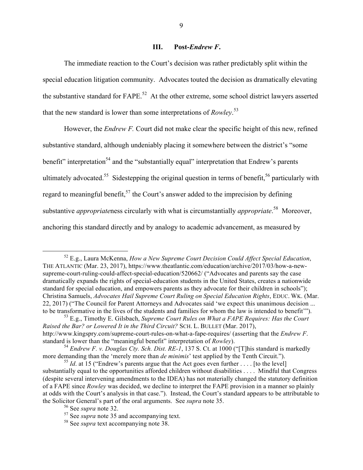### **III. Post-***Endrew F***.**

The immediate reaction to the Court's decision was rather predictably split within the special education litigation community. Advocates touted the decision as dramatically elevating the substantive standard for FAPE.<sup>52</sup> At the other extreme, some school district lawyers asserted that the new standard is lower than some interpretations of *Rowley*. 53

However, the *Endrew F.* Court did not make clear the specific height of this new, refined substantive standard, although undeniably placing it somewhere between the district's "some benefit" interpretation<sup>54</sup> and the "substantially equal" interpretation that Endrew's parents ultimately advocated.<sup>55</sup> Sidestepping the original question in terms of benefit,<sup>56</sup> particularly with regard to meaningful benefit,<sup>57</sup> the Court's answer added to the imprecision by defining substantive *appropriate*ness circularly with what is circumstantially *appropriate*. 58 Moreover, anchoring this standard directly and by analogy to academic advancement, as measured by

 <sup>52</sup> E.g., Laura McKenna, *How a New Supreme Court Decision Could Affect Special Education*, THE ATLANTIC (Mar. 23, 2017), https://www.theatlantic.com/education/archive/2017/03/how-a-newsupreme-court-ruling-could-affect-special-education/520662/ ("Advocates and parents say the case dramatically expands the rights of special-education students in the United States, creates a nationwide standard for special education, and empowers parents as they advocate for their children in schools"); Christina Samuels, *Advocates Hail Supreme Court Ruling on Special Education Rights*, EDUC. WK. (Mar. 22, 2017) ("The Council for Parent Attorneys and Advocates said 'we expect this unanimous decision ... to be transformative in the lives of the students and families for whom the law is intended to benefit'").

<sup>53</sup> E.g., Timothy E. Gilsbach, *Supreme Court Rules on What a FAPE Requires: Has the Court Raised the Bar? or Lowered It in the Third Circuit?* SCH. L. BULLET (Mar. 2017), http://www.kingspry.com/supreme-court-rules-on-what-a-fape-requires/ (asserting that the *Endrew F*. standard is lower than the "meaningful benefit" interpretation of *Rowley*).

<sup>54</sup> *Endrew F. v. Douglas Cty. Sch. Dist. RE-1*, 137 S. Ct. at 1000 ("[T]his standard is markedly more demanding than the 'merely more than *de minimis*' test applied by the Tenth Circuit.").

<sup>&</sup>lt;sup>55</sup> *Id*. at 15 ("Endrew's parents argue that the Act goes even further ... . [to the level] substantially equal to the opportunities afforded children without disabilities . . . . Mindful that Congress (despite several intervening amendments to the IDEA) has not materially changed the statutory definition of a FAPE since *Rowley* was decided, we decline to interpret the FAPE provision in a manner so plainly at odds with the Court's analysis in that case."). Instead, the Court's standard appears to be attributable to the Solicitor General's part of the oral arguments. See *supra* note 35.

<sup>56</sup> See *supra* note 32.

<sup>&</sup>lt;sup>57</sup> See *supra* note 35 and accompanying text.

<sup>58</sup> See *supra* text accompanying note 38.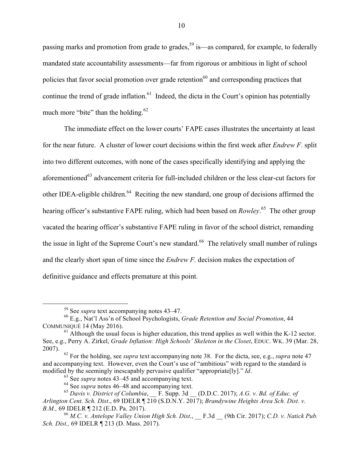passing marks and promotion from grade to grades,<sup>59</sup> is—as compared, for example, to federally mandated state accountability assessments—far from rigorous or ambitious in light of school policies that favor social promotion over grade retention<sup>60</sup> and corresponding practices that continue the trend of grade inflation.<sup>61</sup> Indeed, the dicta in the Court's opinion has potentially much more "bite" than the holding. $62$ 

The immediate effect on the lower courts' FAPE cases illustrates the uncertainty at least for the near future. A cluster of lower court decisions within the first week after *Endrew F*. split into two different outcomes, with none of the cases specifically identifying and applying the aforementioned<sup>63</sup> advancement criteria for full-included children or the less clear-cut factors for other IDEA-eligible children.<sup>64</sup> Reciting the new standard, one group of decisions affirmed the hearing officer's substantive FAPE ruling, which had been based on *Rowley*. 65 The other group vacated the hearing officer's substantive FAPE ruling in favor of the school district, remanding the issue in light of the Supreme Court's new standard.<sup>66</sup> The relatively small number of rulings and the clearly short span of time since the *Endrew F.* decision makes the expectation of definitive guidance and effects premature at this point.

 <sup>59</sup> See *supra* text accompanying notes 43–47.

<sup>60</sup> E.g., Nat'l Ass'n of School Psychologists, *Grade Retention and Social Promotion*, 44 COMMUNIQUÉ 14 (May 2016).

 $<sup>61</sup>$  Although the usual focus is higher education, this trend applies as well within the K-12 sector.</sup> See, e.g., Perry A. Zirkel, *Grade Inflation: High Schools' Skeleton in the Closet*, EDUC. WK. 39 (Mar. 28, 2007).

<sup>62</sup> For the holding, see *supra* text accompanying note 38. For the dicta, see, e.g., *supra* note 47 and accompanying text. However, even the Court's use of "ambitious" with regard to the standard is modified by the seemingly inescapably pervasive qualifier "appropriate[ly]." *Id.* <sup>63</sup> See *supra* notes 43–45 and accompanying text.

<sup>64</sup> See *supra* notes 46–48 and accompanying text.

<sup>&</sup>lt;sup>65</sup> Davis v. District of Columbia, F. Supp. 3d (D.D.C. 2017); *A.G. v. Bd. of Educ. of Arlington Cent. Sch. Dist*., 69 IDELR ¶ 210 (S.D.N.Y. 2017); *Brandywine Heights Area Sch. Dist. v. B.M.*, 69 IDELR ¶ 212 (E.D. Pa. 2017).<br><sup>66</sup> *M.C. v. Antelope Valley Union High Sch. Dist.*, F.3d (9th Cir. 2017); *C.D. v. Natick Pub.* 

*Sch. Dist.,* 69 IDELR ¶ 213 (D. Mass. 2017).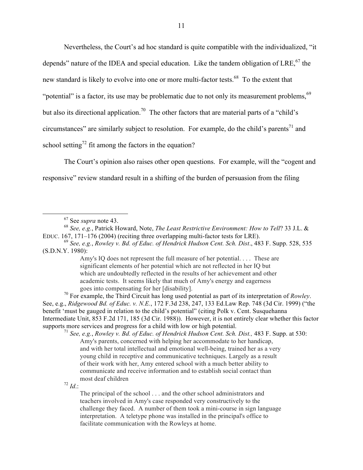Nevertheless, the Court's ad hoc standard is quite compatible with the individualized, "it depends" nature of the IDEA and special education. Like the tandem obligation of LRE,  $67$  the new standard is likely to evolve into one or more multi-factor tests.<sup>68</sup> To the extent that "potential" is a factor, its use may be problematic due to not only its measurement problems,  $69$ but also its directional application.<sup>70</sup> The other factors that are material parts of a "child's" circumstances" are similarly subject to resolution. For example, do the child's parents<sup>71</sup> and school setting<sup>72</sup> fit among the factors in the equation?

The Court's opinion also raises other open questions. For example, will the "cogent and responsive" review standard result in a shifting of the burden of persuasion from the filing

<sup>70</sup> For example, the Third Circuit has long used potential as part of its interpretation of *Rowley*. See, e.g., *Ridgewood Bd. of Educ. v. N.E.*, 172 F.3d 238, 247, 133 Ed.Law Rep. 748 (3d Cir. 1999) ("the benefit 'must be gauged in relation to the child's potential" (citing Polk v. Cent. Susquehanna Intermediate Unit, 853 F.2d 171, 185 (3d Cir. 1988)). However, it is not entirely clear whether this factor supports more services and progress for a child with low or high potential.<br><sup>71</sup> *See, e.g., Rowley v. Bd. of Educ. of Hendrick Hudson Cent. Sch. Dist.*, 483 F. Supp. at 530:

Amy's parents, concerned with helping her accommodate to her handicap, and with her total intellectual and emotional well-being, trained her as a very young child in receptive and communicative techniques. Largely as a result of their work with her, Amy entered school with a much better ability to communicate and receive information and to establish social contact than most deaf children

 $^{72}$  *Id* ·

The principal of the school . . . and the other school administrators and teachers involved in Amy's case responded very constructively to the challenge they faced. A number of them took a mini-course in sign language interpretation. A teletype phone was installed in the principal's office to facilitate communication with the Rowleys at home.

 <sup>67</sup> See *supra* note 43.

<sup>68</sup> *See, e.g.*, Patrick Howard, Note, *The Least Restrictive Environment: How to Tell*? 33 J.L. & EDUC. 167, 171–176 (2004) (reciting three overlapping multi-factor tests for LRE).

<sup>69</sup> *See, e.g.*, *Rowley v. Bd. of Educ. of Hendrick Hudson Cent. Sch. Dist*., 483 F. Supp. 528, 535 (S.D.N.Y. 1980):

Amy's IQ does not represent the full measure of her potential. . . . These are significant elements of her potential which are not reflected in her IQ but which are undoubtedly reflected in the results of her achievement and other academic tests. It seems likely that much of Amy's energy and eagerness goes into compensating for her [disability].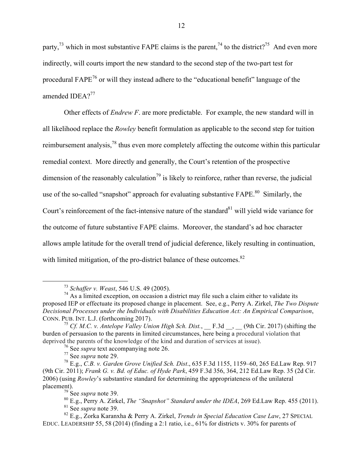party,<sup>73</sup> which in most substantive FAPE claims is the parent,<sup>74</sup> to the district?<sup>75</sup> And even more indirectly, will courts import the new standard to the second step of the two-part test for procedural FAPE<sup>76</sup> or will they instead adhere to the "educational benefit" language of the amended IDEA $2^{77}$ 

Other effects of *Endrew F*. are more predictable. For example, the new standard will in all likelihood replace the *Rowley* benefit formulation as applicable to the second step for tuition reimbursement analysis,<sup>78</sup> thus even more completely affecting the outcome within this particular remedial context. More directly and generally, the Court's retention of the prospective dimension of the reasonably calculation<sup>79</sup> is likely to reinforce, rather than reverse, the judicial use of the so-called "snapshot" approach for evaluating substantive  $FAPE<sup>80</sup>$  Similarly, the Court's reinforcement of the fact-intensive nature of the standard $81$  will yield wide variance for the outcome of future substantive FAPE claims. Moreover, the standard's ad hoc character allows ample latitude for the overall trend of judicial deference, likely resulting in continuation, with limited mitigation, of the pro-district balance of these outcomes.<sup>82</sup>

<sup>76</sup> See *supra* text accompanying note 26.

 <sup>73</sup> *Schaffer v. Weast*, 546 U.S. 49 (2005).

 $74$  As a limited exception, on occasion a district may file such a claim either to validate its proposed IEP or effectuate its proposed change in placement. See, e.g., Perry A. Zirkel, *The Two Dispute Decisional Processes under the Individuals with Disabilities Education Act: An Empirical Comparison*, CONN. PUB. INT. L.J. (forthcoming 2017).

<sup>&</sup>lt;sup>75</sup> Cf. M.C. v. Antelope Valley Union High Sch. Dist., F.3d , (9th Cir. 2017) (shifting the burden of persuasion to the parents in limited circumstances, here being a procedural violation that deprived the parents of the knowledge of the kind and duration of services at issue).

<sup>77</sup> See *supra* note 29.

<sup>78</sup> E.g., *C.B. v. Garden Grove Unified Sch. Dist*., 635 F.3d 1155, 1159–60, 265 Ed.Law Rep. 917 (9th Cir. 2011); *Frank G. v. Bd. of Educ. of Hyde Park*, 459 F.3d 356, 364, 212 Ed.Law Rep. 35 (2d Cir. 2006) (using *Rowley*'s substantive standard for determining the appropriateness of the unilateral placement).

<sup>79</sup> See *supra* note 39.

<sup>80</sup> E.g., Perry A. Zirkel, *The "Snapshot" Standard under the IDEA*, 269 Ed.Law Rep. 455 (2011). <sup>81</sup> See *supra* note 39.

<sup>82</sup> E.g., Zorka Karanxha & Perry A. Zirkel, *Trends in Special Education Case Law*, 27 SPECIAL EDUC. LEADERSHIP 55, 58 (2014) (finding a 2:1 ratio, i.e., 61% for districts v. 30% for parents of